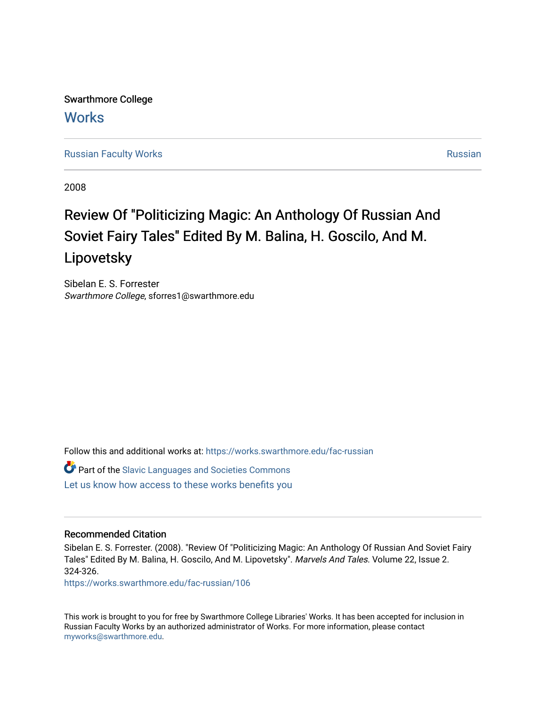Swarthmore College **Works** 

[Russian Faculty Works](https://works.swarthmore.edu/fac-russian) **Russian** [Russian](https://works.swarthmore.edu/russian) Russian Russian

2008

## Review Of "Politicizing Magic: An Anthology Of Russian And Soviet Fairy Tales" Edited By M. Balina, H. Goscilo, And M. Lipovetsky

Sibelan E. S. Forrester Swarthmore College, sforres1@swarthmore.edu

Follow this and additional works at: [https://works.swarthmore.edu/fac-russian](https://works.swarthmore.edu/fac-russian?utm_source=works.swarthmore.edu%2Ffac-russian%2F106&utm_medium=PDF&utm_campaign=PDFCoverPages) 

Part of the [Slavic Languages and Societies Commons](http://network.bepress.com/hgg/discipline/486?utm_source=works.swarthmore.edu%2Ffac-russian%2F106&utm_medium=PDF&utm_campaign=PDFCoverPages)  [Let us know how access to these works benefits you](https://forms.gle/4MB8mE2GywC5965J8) 

## Recommended Citation

Sibelan E. S. Forrester. (2008). "Review Of "Politicizing Magic: An Anthology Of Russian And Soviet Fairy Tales" Edited By M. Balina, H. Goscilo, And M. Lipovetsky". Marvels And Tales. Volume 22, Issue 2. 324-326.

<https://works.swarthmore.edu/fac-russian/106>

This work is brought to you for free by Swarthmore College Libraries' Works. It has been accepted for inclusion in Russian Faculty Works by an authorized administrator of Works. For more information, please contact [myworks@swarthmore.edu.](mailto:myworks@swarthmore.edu)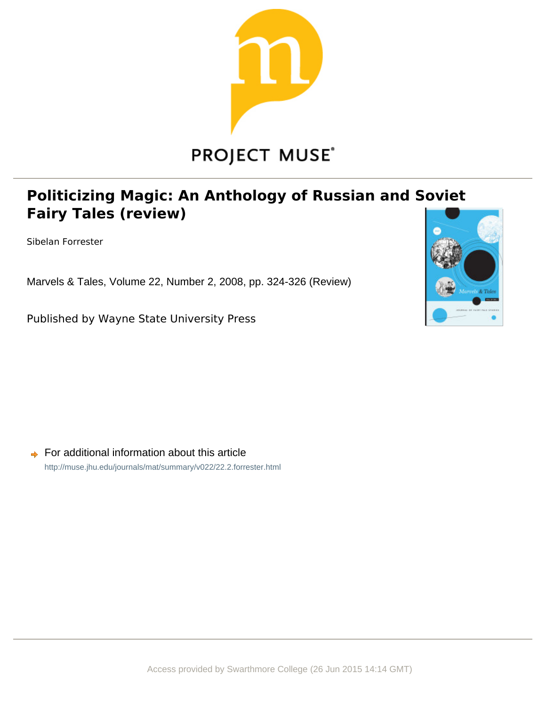

## **PROJECT MUSE®**

## **Politicizing Magic: An Anthology of Russian and Soviet Fairy Tales (review)**

Sibelan Forrester

Marvels & Tales, Volume 22, Number 2, 2008, pp. 324-326 (Review)

Published by Wayne State University Press



For additional information about this article Ъ. <http://muse.jhu.edu/journals/mat/summary/v022/22.2.forrester.html>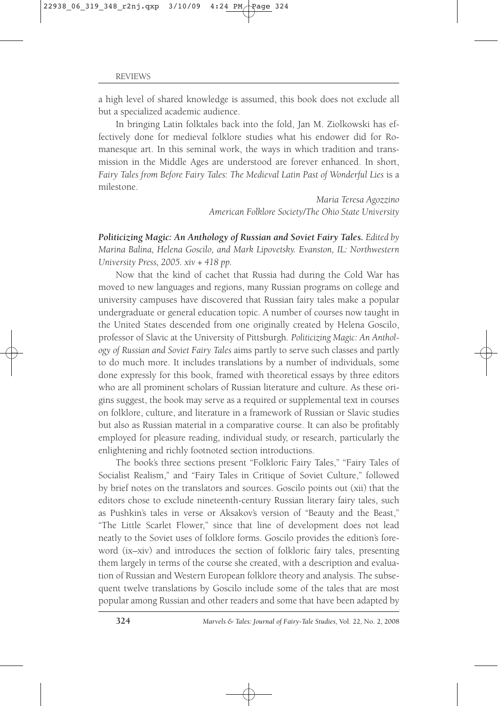a high level of shared knowledge is assumed, this book does not exclude all but a specialized academic audience.

In bringing Latin folktales back into the fold, Jan M. Ziolkowski has effectively done for medieval folklore studies what his endower did for Romanesque art. In this seminal work, the ways in which tradition and transmission in the Middle Ages are understood are forever enhanced. In short, *Fairy Tales from Before Fairy Tales: The Medieval Latin Past of Wonderful Lies* is a milestone.

> *Maria Teresa Agozzino American Folklore Society/The Ohio State University*

*Politicizing Magic: An Anthology of Russian and Soviet Fairy Tales. Edited by Marina Balina, Helena Goscilo, and Mark Lipovetsky. Evanston, IL: Northwestern University Press, 2005. xiv + 418 pp.*

Now that the kind of cachet that Russia had during the Cold War has moved to new languages and regions, many Russian programs on college and university campuses have discovered that Russian fairy tales make a popular undergraduate or general education topic. A number of courses now taught in the United States descended from one originally created by Helena Goscilo, professor of Slavic at the University of Pittsburgh. *Politicizing Magic: An Anthology of Russian and Soviet Fairy Tales* aims partly to serve such classes and partly to do much more. It includes translations by a number of individuals, some done expressly for this book, framed with theoretical essays by three editors who are all prominent scholars of Russian literature and culture. As these origins suggest, the book may serve as a required or supplemental text in courses on folklore, culture, and literature in a framework of Russian or Slavic studies but also as Russian material in a comparative course. It can also be profitably employed for pleasure reading, individual study, or research, particularly the enlightening and richly footnoted section introductions.

The book's three sections present "Folkloric Fairy Tales," "Fairy Tales of Socialist Realism," and "Fairy Tales in Critique of Soviet Culture," followed by brief notes on the translators and sources. Goscilo points out (xii) that the editors chose to exclude nineteenth-century Russian literary fairy tales, such as Pushkin's tales in verse or Aksakov's version of "Beauty and the Beast," "The Little Scarlet Flower," since that line of development does not lead neatly to the Soviet uses of folklore forms. Goscilo provides the edition's foreword (ix–xiv) and introduces the section of folkloric fairy tales, presenting them largely in terms of the course she created, with a description and evaluation of Russian and Western European folklore theory and analysis. The subsequent twelve translations by Goscilo include some of the tales that are most popular among Russian and other readers and some that have been adapted by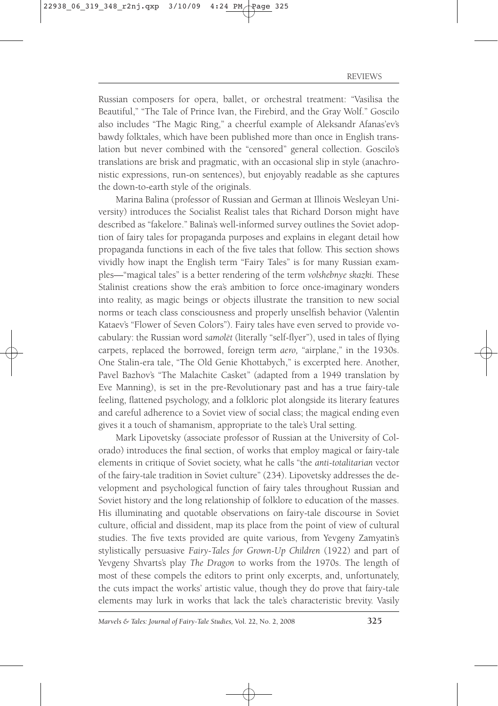Russian composers for opera, ballet, or orchestral treatment: "Vasilisa the Beautiful," "The Tale of Prince Ivan, the Firebird, and the Gray Wolf." Goscilo also includes "The Magic Ring," a cheerful example of Aleksandr Afanas'ev's bawdy folktales, which have been published more than once in English translation but never combined with the "censored" general collection. Goscilo's translations are brisk and pragmatic, with an occasional slip in style (anachronistic expressions, run-on sentences), but enjoyably readable as she captures the down-to-earth style of the originals.

Marina Balina (professor of Russian and German at Illinois Wesleyan University) introduces the Socialist Realist tales that Richard Dorson might have described as "fakelore." Balina's well-informed survey outlines the Soviet adoption of fairy tales for propaganda purposes and explains in elegant detail how propaganda functions in each of the five tales that follow. This section shows vividly how inapt the English term "Fairy Tales" is for many Russian examples—"magical tales" is a better rendering of the term *volshebnye skazki.* These Stalinist creations show the era's ambition to force once-imaginary wonders into reality, as magic beings or objects illustrate the transition to new social norms or teach class consciousness and properly unselfish behavior (Valentin Kataev's "Flower of Seven Colors"). Fairy tales have even served to provide vocabulary: the Russian word *samolët* (literally "self-flyer"), used in tales of flying carpets, replaced the borrowed, foreign term *aero,* "airplane," in the 1930s. One Stalin-era tale, "The Old Genie Khottabych," is excerpted here. Another, Pavel Bazhov's "The Malachite Casket" (adapted from a 1949 translation by Eve Manning), is set in the pre-Revolutionary past and has a true fairy-tale feeling, flattened psychology, and a folkloric plot alongside its literary features and careful adherence to a Soviet view of social class; the magical ending even gives it a touch of shamanism, appropriate to the tale's Ural setting.

Mark Lipovetsky (associate professor of Russian at the University of Colorado) introduces the final section, of works that employ magical or fairy-tale elements in critique of Soviet society, what he calls "the *anti-totalitarian* vector of the fairy-tale tradition in Soviet culture" (234). Lipovetsky addresses the development and psychological function of fairy tales throughout Russian and Soviet history and the long relationship of folklore to education of the masses. His illuminating and quotable observations on fairy-tale discourse in Soviet culture, official and dissident, map its place from the point of view of cultural studies. The five texts provided are quite various, from Yevgeny Zamyatin's stylistically persuasive *Fairy-Tales for Grown-Up Children* (1922) and part of Yevgeny Shvarts's play *The Dragon* to works from the 1970s. The length of most of these compels the editors to print only excerpts, and, unfortunately, the cuts impact the works' artistic value, though they do prove that fairy-tale elements may lurk in works that lack the tale's characteristic brevity. Vasily